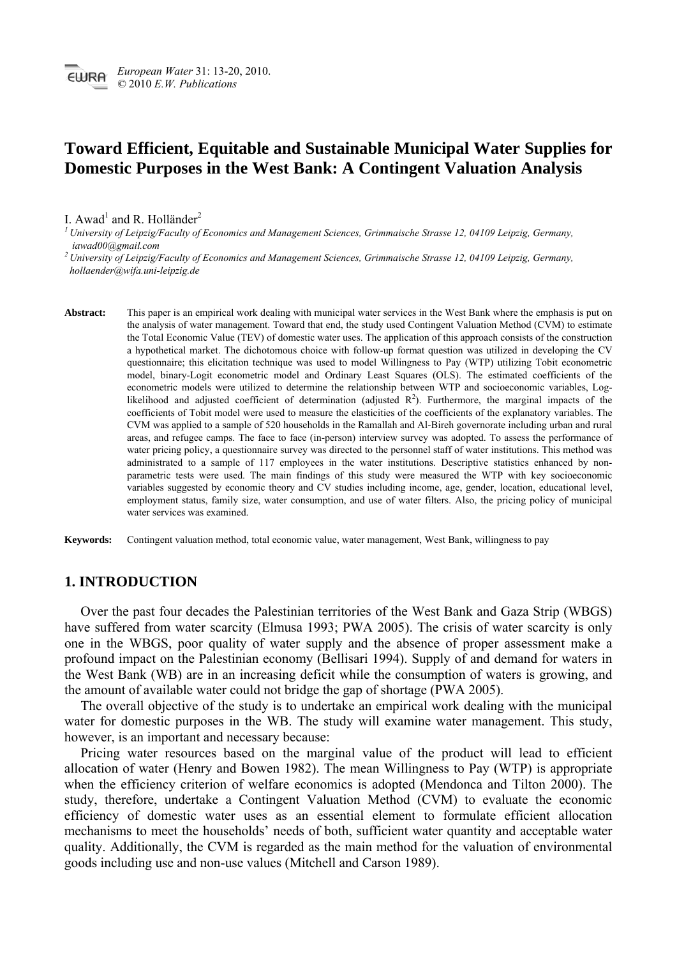## **Toward Efficient, Equitable and Sustainable Municipal Water Supplies for Domestic Purposes in the West Bank: A Contingent Valuation Analysis**

## I. Awad<sup>1</sup> and R. Holländer<sup>2</sup>

*1 University of Leipzig/Faculty of Economics and Management Sciences, Grimmaische Strasse 12, 04109 Leipzig, Germany, iawad00@gmail.com* 

*2 University of Leipzig/Faculty of Economics and Management Sciences, Grimmaische Strasse 12, 04109 Leipzig, Germany, hollaender@wifa.uni-leipzig.de* 

**Abstract:** This paper is an empirical work dealing with municipal water services in the West Bank where the emphasis is put on the analysis of water management. Toward that end, the study used Contingent Valuation Method (CVM) to estimate the Total Economic Value (TEV) of domestic water uses. The application of this approach consists of the construction a hypothetical market. The dichotomous choice with follow-up format question was utilized in developing the CV questionnaire; this elicitation technique was used to model Willingness to Pay (WTP) utilizing Tobit econometric model, binary-Logit econometric model and Ordinary Least Squares (OLS). The estimated coefficients of the econometric models were utilized to determine the relationship between WTP and socioeconomic variables, Loglikelihood and adjusted coefficient of determination (adjusted  $R<sup>2</sup>$ ). Furthermore, the marginal impacts of the coefficients of Tobit model were used to measure the elasticities of the coefficients of the explanatory variables. The CVM was applied to a sample of 520 households in the Ramallah and Al-Bireh governorate including urban and rural areas, and refugee camps. The face to face (in-person) interview survey was adopted. To assess the performance of water pricing policy, a questionnaire survey was directed to the personnel staff of water institutions. This method was administrated to a sample of 117 employees in the water institutions. Descriptive statistics enhanced by nonparametric tests were used. The main findings of this study were measured the WTP with key socioeconomic variables suggested by economic theory and CV studies including income, age, gender, location, educational level, employment status, family size, water consumption, and use of water filters. Also, the pricing policy of municipal water services was examined.

**Keywords:** Contingent valuation method, total economic value, water management, West Bank, willingness to pay

## **1. INTRODUCTION**

Over the past four decades the Palestinian territories of the West Bank and Gaza Strip (WBGS) have suffered from water scarcity (Elmusa 1993; PWA 2005). The crisis of water scarcity is only one in the WBGS, poor quality of water supply and the absence of proper assessment make a profound impact on the Palestinian economy (Bellisari 1994). Supply of and demand for waters in the West Bank (WB) are in an increasing deficit while the consumption of waters is growing, and the amount of available water could not bridge the gap of shortage (PWA 2005).

The overall objective of the study is to undertake an empirical work dealing with the municipal water for domestic purposes in the WB. The study will examine water management. This study, however, is an important and necessary because:

Pricing water resources based on the marginal value of the product will lead to efficient allocation of water (Henry and Bowen 1982). The mean Willingness to Pay (WTP) is appropriate when the efficiency criterion of welfare economics is adopted (Mendonca and Tilton 2000). The study, therefore, undertake a Contingent Valuation Method (CVM) to evaluate the economic efficiency of domestic water uses as an essential element to formulate efficient allocation mechanisms to meet the households' needs of both, sufficient water quantity and acceptable water quality. Additionally, the CVM is regarded as the main method for the valuation of environmental goods including use and non-use values (Mitchell and Carson 1989).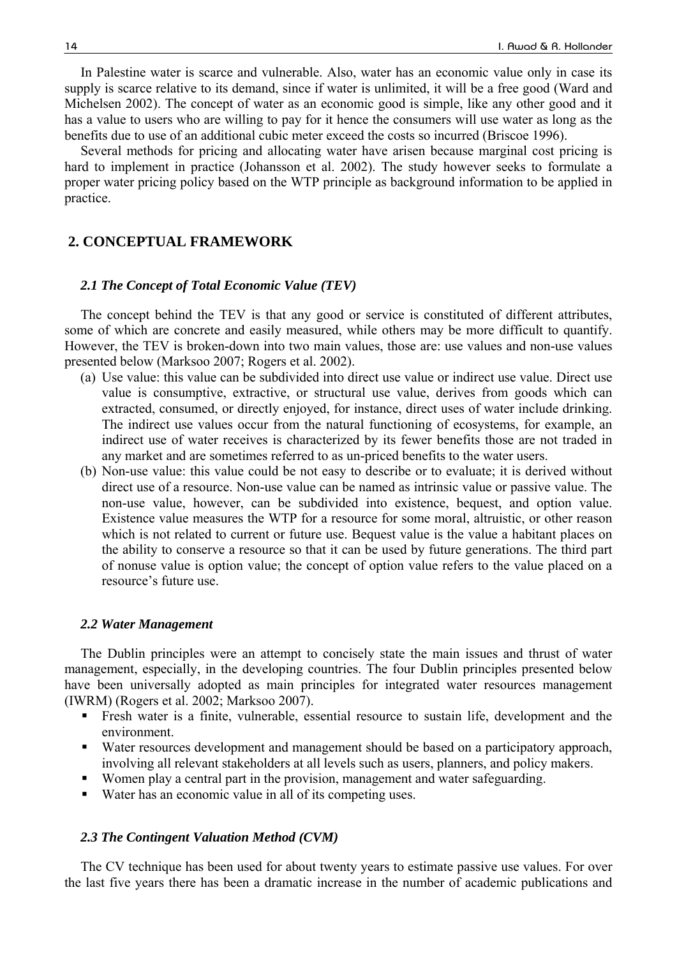In Palestine water is scarce and vulnerable. Also, water has an economic value only in case its supply is scarce relative to its demand, since if water is unlimited, it will be a free good (Ward and Michelsen 2002). The concept of water as an economic good is simple, like any other good and it has a value to users who are willing to pay for it hence the consumers will use water as long as the benefits due to use of an additional cubic meter exceed the costs so incurred (Briscoe 1996).

Several methods for pricing and allocating water have arisen because marginal cost pricing is hard to implement in practice (Johansson et al. 2002). The study however seeks to formulate a proper water pricing policy based on the WTP principle as background information to be applied in practice.

## **2. CONCEPTUAL FRAMEWORK**

#### *2.1 The Concept of Total Economic Value (TEV)*

The concept behind the TEV is that any good or service is constituted of different attributes, some of which are concrete and easily measured, while others may be more difficult to quantify. However, the TEV is broken-down into two main values, those are: use values and non-use values presented below (Marksoo 2007; Rogers et al. 2002).

- (a) Use value: this value can be subdivided into direct use value or indirect use value. Direct use value is consumptive, extractive, or structural use value, derives from goods which can extracted, consumed, or directly enjoyed, for instance, direct uses of water include drinking. The indirect use values occur from the natural functioning of ecosystems, for example, an indirect use of water receives is characterized by its fewer benefits those are not traded in any market and are sometimes referred to as un-priced benefits to the water users.
- (b) Non-use value: this value could be not easy to describe or to evaluate; it is derived without direct use of a resource. Non-use value can be named as intrinsic value or passive value. The non-use value, however, can be subdivided into existence, bequest, and option value. Existence value measures the WTP for a resource for some moral, altruistic, or other reason which is not related to current or future use. Bequest value is the value a habitant places on the ability to conserve a resource so that it can be used by future generations. The third part of nonuse value is option value; the concept of option value refers to the value placed on a resource's future use.

#### *2.2 Water Management*

The Dublin principles were an attempt to concisely state the main issues and thrust of water management, especially, in the developing countries. The four Dublin principles presented below have been universally adopted as main principles for integrated water resources management (IWRM) (Rogers et al. 2002; Marksoo 2007).

- Fresh water is a finite, vulnerable, essential resource to sustain life, development and the environment.
- Water resources development and management should be based on a participatory approach, involving all relevant stakeholders at all levels such as users, planners, and policy makers.
- Women play a central part in the provision, management and water safeguarding.
- Water has an economic value in all of its competing uses.

#### *2.3 The Contingent Valuation Method (CVM)*

The CV technique has been used for about twenty years to estimate passive use values. For over the last five years there has been a dramatic increase in the number of academic publications and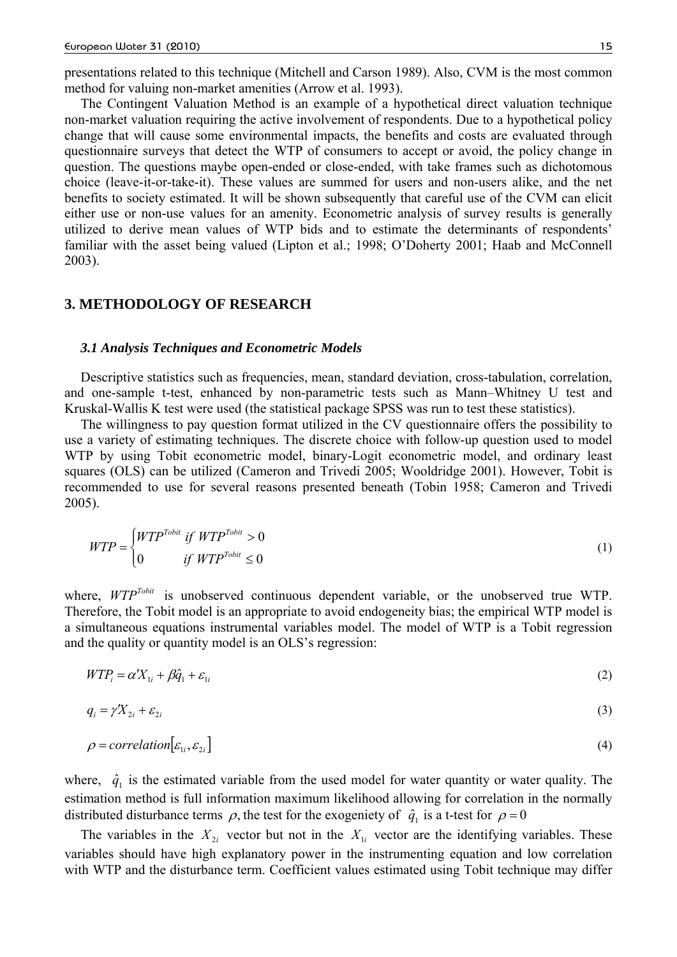presentations related to this technique (Mitchell and Carson 1989). Also, CVM is the most common method for valuing non-market amenities (Arrow et al. 1993).

The Contingent Valuation Method is an example of a hypothetical direct valuation technique non-market valuation requiring the active involvement of respondents. Due to a hypothetical policy change that will cause some environmental impacts, the benefits and costs are evaluated through questionnaire surveys that detect the WTP of consumers to accept or avoid, the policy change in question. The questions maybe open-ended or close-ended, with take frames such as dichotomous choice (leave-it-or-take-it). These values are summed for users and non-users alike, and the net benefits to society estimated. It will be shown subsequently that careful use of the CVM can elicit either use or non-use values for an amenity. Econometric analysis of survey results is generally utilized to derive mean values of WTP bids and to estimate the determinants of respondents' familiar with the asset being valued (Lipton et al.; 1998; O'Doherty 2001; Haab and McConnell 2003).

## **3. METHODOLOGY OF RESEARCH**

#### *3.1 Analysis Techniques and Econometric Models*

Descriptive statistics such as frequencies, mean, standard deviation, cross-tabulation, correlation, and one-sample t-test, enhanced by non-parametric tests such as Mann–Whitney U test and Kruskal-Wallis K test were used (the statistical package SPSS was run to test these statistics).

The willingness to pay question format utilized in the CV questionnaire offers the possibility to use a variety of estimating techniques. The discrete choice with follow-up question used to model WTP by using Tobit econometric model, binary-Logit econometric model, and ordinary least squares (OLS) can be utilized (Cameron and Trivedi 2005; Wooldridge 2001). However, Tobit is recommended to use for several reasons presented beneath (Tobin 1958; Cameron and Trivedi 2005).

$$
WTP = \begin{cases} WTP^{Tobit} & \text{if } WTP^{Tobit} > 0\\ 0 & \text{if } WTP^{Tobit} \le 0 \end{cases}
$$
 (1)

where,  $WTP^{Tobit}$  is unobserved continuous dependent variable, or the unobserved true WTP. Therefore, the Tobit model is an appropriate to avoid endogeneity bias; the empirical WTP model is a simultaneous equations instrumental variables model. The model of WTP is a Tobit regression and the quality or quantity model is an OLS's regression:

$$
WTP_i = \alpha' X_{1i} + \beta \hat{q}_1 + \varepsilon_{1i} \tag{2}
$$

$$
q_i = \gamma X_{2i} + \varepsilon_{2i} \tag{3}
$$

$$
\rho = correlation[\varepsilon_{1i}, \varepsilon_{2i}] \tag{4}
$$

where,  $\hat{q}_1$  is the estimated variable from the used model for water quantity or water quality. The estimation method is full information maximum likelihood allowing for correlation in the normally distributed disturbance terms  $\rho$ , the test for the exogeniety of  $\hat{q}_1$  is a t-test for  $\rho = 0$ 

The variables in the  $X_{2i}$  vector but not in the  $X_{1i}$  vector are the identifying variables. These variables should have high explanatory power in the instrumenting equation and low correlation with WTP and the disturbance term. Coefficient values estimated using Tobit technique may differ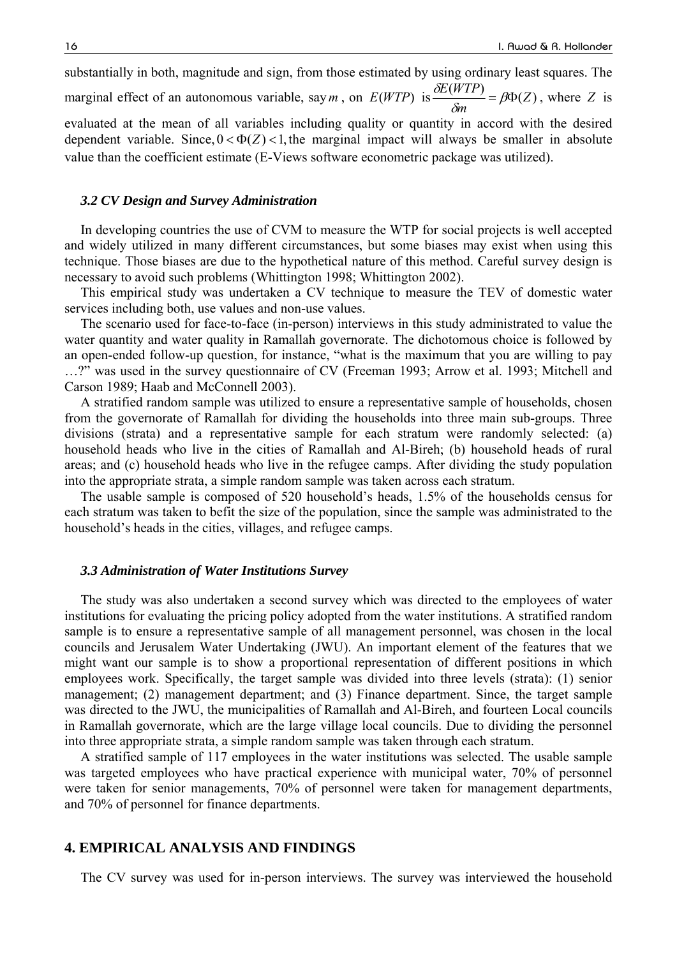substantially in both, magnitude and sign, from those estimated by using ordinary least squares. The marginal effect of an autonomous variable, say *m*, on  $E(WTP)$  is  $\frac{\delta E(WTP)}{2} = \beta \Phi(Z)$ *m*  $\frac{\delta E(WTP)}{\delta m} = \beta \Phi(Z)$ , where *Z* is evaluated at the mean of all variables including quality or quantity in accord with the desired dependent variable. Since,  $0 < \Phi(Z) < 1$ , the marginal impact will always be smaller in absolute

# value than the coefficient estimate (E-Views software econometric package was utilized).

## *3.2 CV Design and Survey Administration*

In developing countries the use of CVM to measure the WTP for social projects is well accepted and widely utilized in many different circumstances, but some biases may exist when using this technique. Those biases are due to the hypothetical nature of this method. Careful survey design is necessary to avoid such problems (Whittington 1998; Whittington 2002).

This empirical study was undertaken a CV technique to measure the TEV of domestic water services including both, use values and non-use values.

The scenario used for face-to-face (in-person) interviews in this study administrated to value the water quantity and water quality in Ramallah governorate. The dichotomous choice is followed by an open-ended follow-up question, for instance, "what is the maximum that you are willing to pay …?" was used in the survey questionnaire of CV (Freeman 1993; Arrow et al. 1993; Mitchell and Carson 1989; Haab and McConnell 2003).

A stratified random sample was utilized to ensure a representative sample of households, chosen from the governorate of Ramallah for dividing the households into three main sub-groups. Three divisions (strata) and a representative sample for each stratum were randomly selected: (a) household heads who live in the cities of Ramallah and Al-Bireh; (b) household heads of rural areas; and (c) household heads who live in the refugee camps. After dividing the study population into the appropriate strata, a simple random sample was taken across each stratum.

The usable sample is composed of 520 household's heads, 1.5% of the households census for each stratum was taken to befit the size of the population, since the sample was administrated to the household's heads in the cities, villages, and refugee camps.

#### *3.3 Administration of Water Institutions Survey*

The study was also undertaken a second survey which was directed to the employees of water institutions for evaluating the pricing policy adopted from the water institutions. A stratified random sample is to ensure a representative sample of all management personnel, was chosen in the local councils and Jerusalem Water Undertaking (JWU). An important element of the features that we might want our sample is to show a proportional representation of different positions in which employees work. Specifically, the target sample was divided into three levels (strata): (1) senior management; (2) management department; and (3) Finance department. Since, the target sample was directed to the JWU, the municipalities of Ramallah and Al-Bireh, and fourteen Local councils in Ramallah governorate, which are the large village local councils. Due to dividing the personnel into three appropriate strata, a simple random sample was taken through each stratum.

A stratified sample of 117 employees in the water institutions was selected. The usable sample was targeted employees who have practical experience with municipal water, 70% of personnel were taken for senior managements, 70% of personnel were taken for management departments, and 70% of personnel for finance departments.

## **4. EMPIRICAL ANALYSIS AND FINDINGS**

The CV survey was used for in-person interviews. The survey was interviewed the household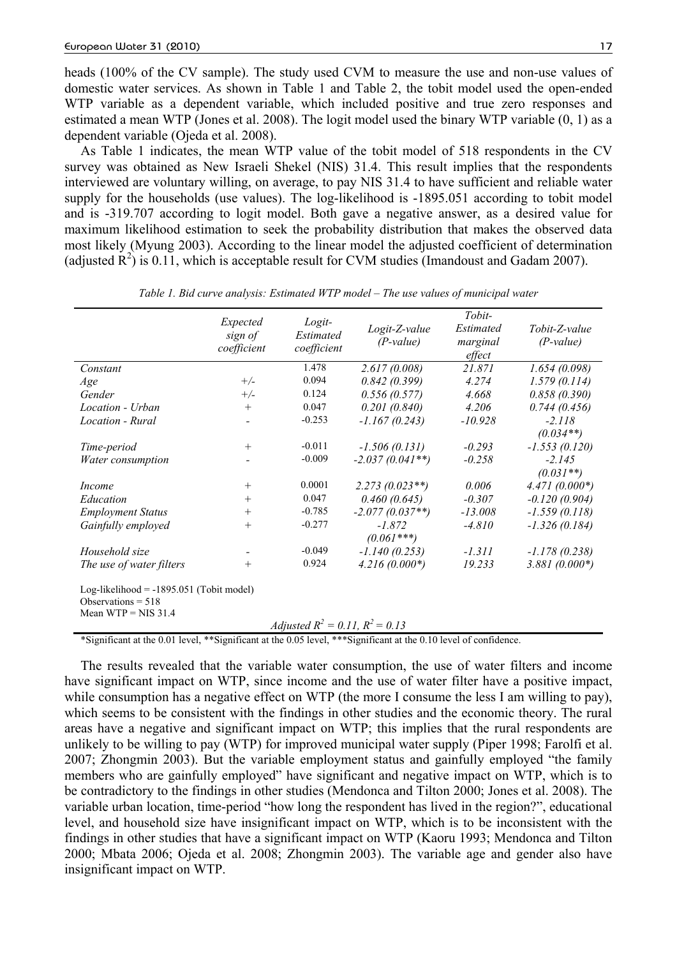heads (100% of the CV sample). The study used CVM to measure the use and non-use values of domestic water services. As shown in Table 1 and Table 2, the tobit model used the open-ended WTP variable as a dependent variable, which included positive and true zero responses and estimated a mean WTP (Jones et al. 2008). The logit model used the binary WTP variable (0, 1) as a dependent variable (Ojeda et al. 2008).

As Table 1 indicates, the mean WTP value of the tobit model of 518 respondents in the CV survey was obtained as New Israeli Shekel (NIS) 31.4. This result implies that the respondents interviewed are voluntary willing, on average, to pay NIS 31.4 to have sufficient and reliable water supply for the households (use values). The log-likelihood is -1895.051 according to tobit model and is -319.707 according to logit model. Both gave a negative answer, as a desired value for maximum likelihood estimation to seek the probability distribution that makes the observed data most likely (Myung 2003). According to the linear model the adjusted coefficient of determination (adjusted  $\mathbb{R}^2$ ) is 0.11, which is acceptable result for CVM studies (Imandoust and Gadam 2007).

|                                                                                             | Expected<br>sign of<br>coefficient | Logit-<br>Estimated<br>coefficient   | Logit-Z-value<br>$(P-value)$ | Tobit-<br>Estimated<br>marginal<br>effect | Tobit-Z-value<br>$(P-value)$ |
|---------------------------------------------------------------------------------------------|------------------------------------|--------------------------------------|------------------------------|-------------------------------------------|------------------------------|
| Constant                                                                                    |                                    | 1.478                                | 2.617(0.008)                 | 21.871                                    | 1.654(0.098)                 |
| Age                                                                                         | $+/-$                              | 0.094                                | 0.842(0.399)                 | 4.274                                     | 1.579(0.114)                 |
| Gender                                                                                      | $+/-$                              | 0.124                                | 0.556(0.577)                 | 4.668                                     | 0.858(0.390)                 |
| Location - Urban                                                                            | $+$                                | 0.047                                | 0.201(0.840)                 | 4.206                                     | 0.744(0.456)                 |
| Location - Rural                                                                            |                                    | $-0.253$                             | $-1.167(0.243)$              | $-10.928$                                 | $-2.118$                     |
|                                                                                             |                                    |                                      |                              |                                           | $(0.034**)$                  |
| Time-period                                                                                 | $^{+}$                             | $-0.011$                             | $-1.506(0.131)$              | $-0.293$                                  | $-1.553(0.120)$              |
| Water consumption                                                                           |                                    | $-0.009$                             | $-2.037(0.041**)$            | $-0.258$                                  | $-2.145$                     |
|                                                                                             |                                    |                                      |                              |                                           | $(0.031**)$                  |
| <i>Income</i>                                                                               | $^{+}$                             | 0.0001                               | $2.273(0.023**)$             | 0.006                                     | $4.471(0.000*)$              |
| Education                                                                                   | $+$                                | 0.047                                | 0.460(0.645)                 | $-0.307$                                  | $-0.120(0.904)$              |
| <b>Employment Status</b>                                                                    | $+$                                | $-0.785$                             | $-2.077(0.037**)$            | $-13.008$                                 | $-1.559(0.118)$              |
| Gainfully employed                                                                          | $^{+}$                             | $-0.277$                             | $-1.872$                     | $-4.810$                                  | $-1.326(0.184)$              |
|                                                                                             |                                    |                                      | $(0.061***)$                 |                                           |                              |
| Household size                                                                              | $\qquad \qquad$                    | $-0.049$                             | $-1.140(0.253)$              | $-1.311$                                  | $-1.178(0.238)$              |
| The use of water filters                                                                    | $^{+}$                             | 0.924                                | $4.216(0.000*)$              | 19.233                                    | $3.881(0.000*)$              |
| Log-likelihood = $-1895.051$ (Tobit model)<br>Observations $= 518$<br>Mean WTP = $NIS$ 31.4 |                                    | Adjusted $R^2 = 0.11$ , $R^2 = 0.13$ |                              |                                           |                              |

*Table 1. Bid curve analysis: Estimated WTP model – The use values of municipal water* 

\*Significant at the 0.01 level, \*\*Significant at the 0.05 level, \*\*\*Significant at the 0.10 level of confidence.

The results revealed that the variable water consumption, the use of water filters and income have significant impact on WTP, since income and the use of water filter have a positive impact, while consumption has a negative effect on WTP (the more I consume the less I am willing to pay), which seems to be consistent with the findings in other studies and the economic theory. The rural areas have a negative and significant impact on WTP; this implies that the rural respondents are unlikely to be willing to pay (WTP) for improved municipal water supply (Piper 1998; Farolfi et al. 2007; Zhongmin 2003). But the variable employment status and gainfully employed "the family members who are gainfully employed" have significant and negative impact on WTP, which is to be contradictory to the findings in other studies (Mendonca and Tilton 2000; Jones et al. 2008). The variable urban location, time-period "how long the respondent has lived in the region?", educational level, and household size have insignificant impact on WTP, which is to be inconsistent with the findings in other studies that have a significant impact on WTP (Kaoru 1993; Mendonca and Tilton 2000; Mbata 2006; Ojeda et al. 2008; Zhongmin 2003). The variable age and gender also have insignificant impact on WTP.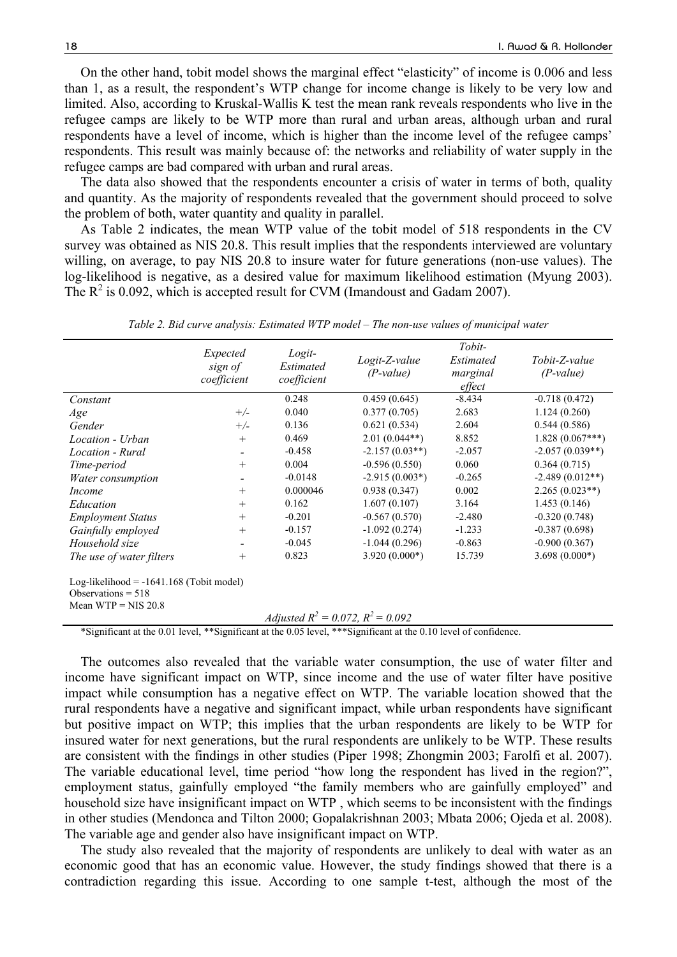On the other hand, tobit model shows the marginal effect "elasticity" of income is 0.006 and less than 1, as a result, the respondent's WTP change for income change is likely to be very low and limited. Also, according to Kruskal-Wallis K test the mean rank reveals respondents who live in the refugee camps are likely to be WTP more than rural and urban areas, although urban and rural respondents have a level of income, which is higher than the income level of the refugee camps' respondents. This result was mainly because of: the networks and reliability of water supply in the refugee camps are bad compared with urban and rural areas.

The data also showed that the respondents encounter a crisis of water in terms of both, quality and quantity. As the majority of respondents revealed that the government should proceed to solve the problem of both, water quantity and quality in parallel.

As Table 2 indicates, the mean WTP value of the tobit model of 518 respondents in the CV survey was obtained as NIS 20.8. This result implies that the respondents interviewed are voluntary willing, on average, to pay NIS 20.8 to insure water for future generations (non-use values). The log-likelihood is negative, as a desired value for maximum likelihood estimation (Myung 2003). The  $R^2$  is 0.092, which is accepted result for CVM (Imandoust and Gadam 2007).

|                                                                                             | Expected<br>sign of<br>coefficient | Logit-<br>Estimated<br>coefficient | Logit-Z-value<br>$(P-value)$ | Tobit-<br>Estimated<br>marginal<br>effect | Tobit-Z-value<br>$(P-value)$ |  |  |
|---------------------------------------------------------------------------------------------|------------------------------------|------------------------------------|------------------------------|-------------------------------------------|------------------------------|--|--|
| Constant                                                                                    |                                    | 0.248                              | 0.459(0.645)                 | $-8.434$                                  | $-0.718(0.472)$              |  |  |
| Age                                                                                         | $+/-$                              | 0.040                              | 0.377(0.705)                 | 2.683                                     | 1.124(0.260)                 |  |  |
| Gender                                                                                      | $+/-$                              | 0.136                              | 0.621(0.534)                 | 2.604                                     | 0.544(0.586)                 |  |  |
| Location - Urban                                                                            | $+$                                | 0.469                              | $2.01(0.044**)$              | 8.852                                     | $1.828(0.067***)$            |  |  |
| Location - Rural                                                                            | $\overline{\phantom{a}}$           | $-0.458$                           | $-2.157(0.03**)$             | $-2.057$                                  | $-2.057(0.039**)$            |  |  |
| Time-period                                                                                 | $+$                                | 0.004                              | $-0.596(0.550)$              | 0.060                                     | 0.364(0.715)                 |  |  |
| Water consumption                                                                           |                                    | $-0.0148$                          | $-2.915(0.003*)$             | $-0.265$                                  | $-2.489(0.012**)$            |  |  |
| <i>Income</i>                                                                               | $+$                                | 0.000046                           | 0.938(0.347)                 | 0.002                                     | $2.265(0.023**)$             |  |  |
| Education                                                                                   | $+$                                | 0.162                              | 1.607(0.107)                 | 3.164                                     | 1.453(0.146)                 |  |  |
| <b>Employment Status</b>                                                                    | $+$                                | $-0.201$                           | $-0.567(0.570)$              | $-2.480$                                  | $-0.320(0.748)$              |  |  |
| Gainfully employed                                                                          | $^{+}$                             | $-0.157$                           | $-1.092(0.274)$              | $-1.233$                                  | $-0.387(0.698)$              |  |  |
| Household size                                                                              | -                                  | $-0.045$                           | $-1.044(0.296)$              | $-0.863$                                  | $-0.900(0.367)$              |  |  |
| The use of water filters                                                                    | $^{+}$                             | 0.823                              | $3.920(0.000*)$              | 15.739                                    | $3.698(0.000*)$              |  |  |
| Log-likelihood = $-1641.168$ (Tobit model)<br>Observations $= 518$<br>Mean WTP = $NIS$ 20.8 |                                    |                                    |                              |                                           |                              |  |  |
| Adjusted $R^2 = 0.072$ , $R^2 = 0.092$                                                      |                                    |                                    |                              |                                           |                              |  |  |

*Table 2. Bid curve analysis: Estimated WTP model – The non-use values of municipal water* 

\*Significant at the 0.01 level, \*\*Significant at the 0.05 level, \*\*\*Significant at the 0.10 level of confidence.

The outcomes also revealed that the variable water consumption, the use of water filter and income have significant impact on WTP, since income and the use of water filter have positive impact while consumption has a negative effect on WTP. The variable location showed that the rural respondents have a negative and significant impact, while urban respondents have significant but positive impact on WTP; this implies that the urban respondents are likely to be WTP for insured water for next generations, but the rural respondents are unlikely to be WTP. These results are consistent with the findings in other studies (Piper 1998; Zhongmin 2003; Farolfi et al. 2007). The variable educational level, time period "how long the respondent has lived in the region?", employment status, gainfully employed "the family members who are gainfully employed" and household size have insignificant impact on WTP , which seems to be inconsistent with the findings in other studies (Mendonca and Tilton 2000; Gopalakrishnan 2003; Mbata 2006; Ojeda et al. 2008). The variable age and gender also have insignificant impact on WTP.

The study also revealed that the majority of respondents are unlikely to deal with water as an economic good that has an economic value. However, the study findings showed that there is a contradiction regarding this issue. According to one sample t-test, although the most of the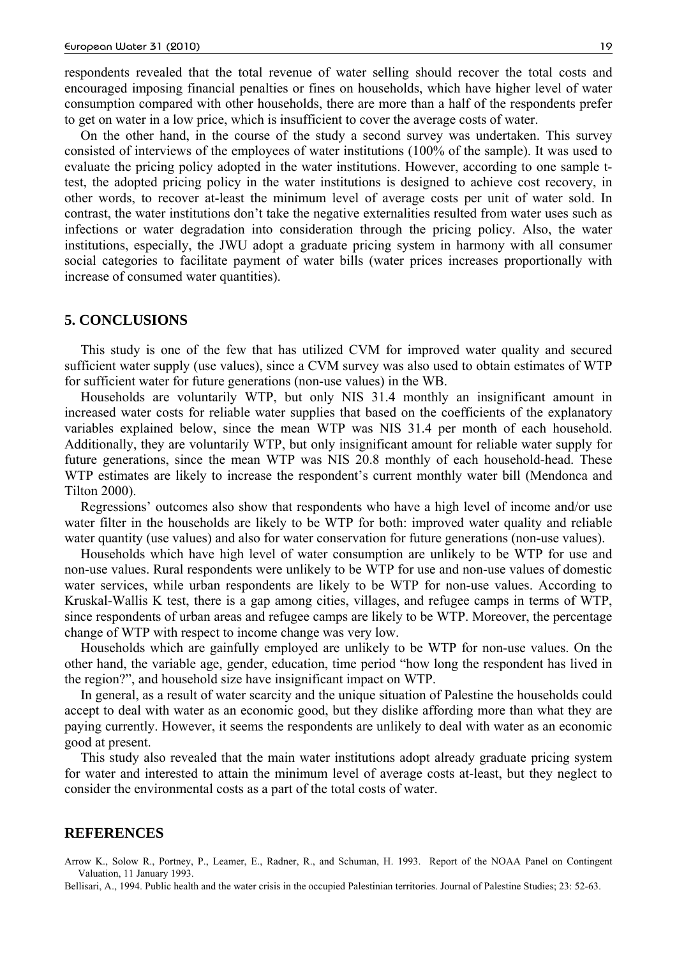respondents revealed that the total revenue of water selling should recover the total costs and encouraged imposing financial penalties or fines on households, which have higher level of water consumption compared with other households, there are more than a half of the respondents prefer to get on water in a low price, which is insufficient to cover the average costs of water.

On the other hand, in the course of the study a second survey was undertaken. This survey consisted of interviews of the employees of water institutions (100% of the sample). It was used to evaluate the pricing policy adopted in the water institutions. However, according to one sample ttest, the adopted pricing policy in the water institutions is designed to achieve cost recovery, in other words, to recover at-least the minimum level of average costs per unit of water sold. In contrast, the water institutions don't take the negative externalities resulted from water uses such as infections or water degradation into consideration through the pricing policy. Also, the water institutions, especially, the JWU adopt a graduate pricing system in harmony with all consumer social categories to facilitate payment of water bills (water prices increases proportionally with increase of consumed water quantities).

#### **5. CONCLUSIONS**

This study is one of the few that has utilized CVM for improved water quality and secured sufficient water supply (use values), since a CVM survey was also used to obtain estimates of WTP for sufficient water for future generations (non-use values) in the WB.

Households are voluntarily WTP, but only NIS 31.4 monthly an insignificant amount in increased water costs for reliable water supplies that based on the coefficients of the explanatory variables explained below, since the mean WTP was NIS 31.4 per month of each household. Additionally, they are voluntarily WTP, but only insignificant amount for reliable water supply for future generations, since the mean WTP was NIS 20.8 monthly of each household-head. These WTP estimates are likely to increase the respondent's current monthly water bill (Mendonca and Tilton 2000).

Regressions' outcomes also show that respondents who have a high level of income and/or use water filter in the households are likely to be WTP for both: improved water quality and reliable water quantity (use values) and also for water conservation for future generations (non-use values).

Households which have high level of water consumption are unlikely to be WTP for use and non-use values. Rural respondents were unlikely to be WTP for use and non-use values of domestic water services, while urban respondents are likely to be WTP for non-use values. According to Kruskal-Wallis K test, there is a gap among cities, villages, and refugee camps in terms of WTP, since respondents of urban areas and refugee camps are likely to be WTP. Moreover, the percentage change of WTP with respect to income change was very low.

Households which are gainfully employed are unlikely to be WTP for non-use values. On the other hand, the variable age, gender, education, time period "how long the respondent has lived in the region?", and household size have insignificant impact on WTP.

In general, as a result of water scarcity and the unique situation of Palestine the households could accept to deal with water as an economic good, but they dislike affording more than what they are paying currently. However, it seems the respondents are unlikely to deal with water as an economic good at present.

This study also revealed that the main water institutions adopt already graduate pricing system for water and interested to attain the minimum level of average costs at-least, but they neglect to consider the environmental costs as a part of the total costs of water.

#### **REFERENCES**

Arrow K., Solow R., Portney, P., Leamer, E., Radner, R., and Schuman, H. 1993. Report of the NOAA Panel on Contingent Valuation, 11 January 1993.

Bellisari, A., 1994. Public health and the water crisis in the occupied Palestinian territories. Journal of Palestine Studies; 23: 52-63.